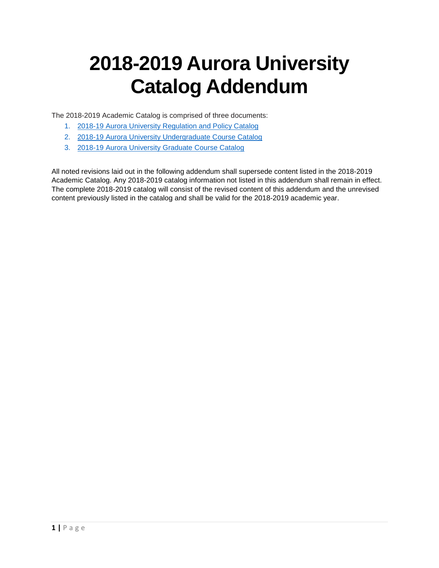# **2018-2019 Aurora University Catalog Addendum**

The 2018-2019 Academic Catalog is comprised of three documents:

- 1. [2018-19 Aurora University Regulation and Policy Catalog](https://www.aurora.edu/academics/resources/academic-catalog.html#.W-NIKZWo7ug)
- 2. [2018-19 Aurora University Undergraduate Course Catalog](https://www.aurora.edu/academics/resources/academic-catalog.html#.W-NIKZWo7ug)
- 3. [2018-19 Aurora University Graduate Course Catalog](https://www.aurora.edu/academics/resources/academic-catalog.html#.W-NIKZWo7ug)

All noted revisions laid out in the following addendum shall supersede content listed in the 2018-2019 Academic Catalog. Any 2018-2019 catalog information not listed in this addendum shall remain in effect. The complete 2018-2019 catalog will consist of the revised content of this addendum and the unrevised content previously listed in the catalog and shall be valid for the 2018-2019 academic year.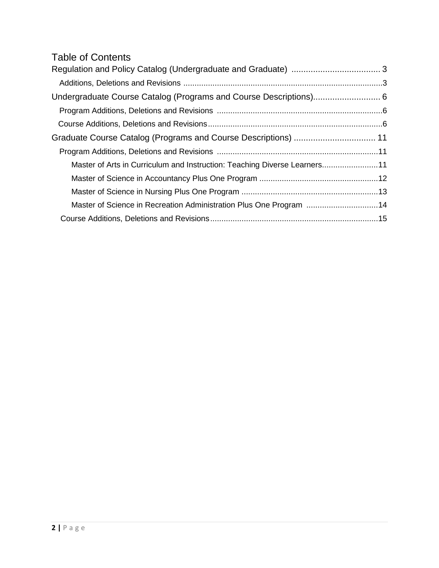# Table of Contents

| Master of Arts in Curriculum and Instruction: Teaching Diverse Learners11 |  |
|---------------------------------------------------------------------------|--|
|                                                                           |  |
|                                                                           |  |
| Master of Science in Recreation Administration Plus One Program 14        |  |
|                                                                           |  |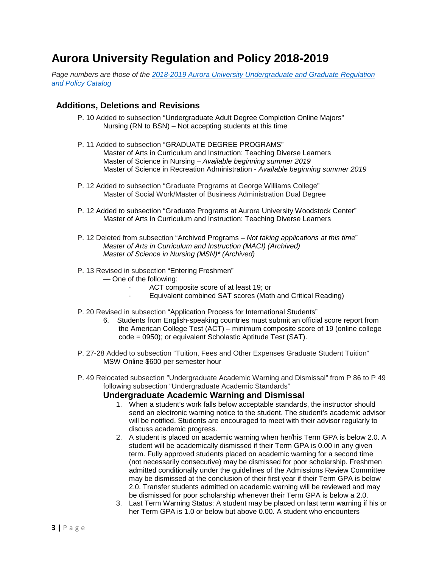# **Aurora University Regulation and Policy 2018-2019**

*Page numbers are those of the 2018-2019 Aurora University [Undergraduate and Graduate](https://www.aurora.edu/academics/resources/academic-catalog.html#.W-NRXpWo7uh) Regulation [and Policy Catalog](https://www.aurora.edu/academics/resources/academic-catalog.html#.W-NRXpWo7uh)*

# **Additions, Deletions and Revisions**

- P. 10 Added to subsection "Undergraduate Adult Degree Completion Online Majors" Nursing (RN to BSN) – Not accepting students at this time
- P. 11 Added to subsection "GRADUATE DEGREE PROGRAMS" Master of Arts in Curriculum and Instruction: Teaching Diverse Learners Master of Science in Nursing – *Available beginning summer 2019* Master of Science in Recreation Administration - *Available beginning summer 2019*
- P. 12 Added to subsection "Graduate Programs at George Williams College" Master of Social Work/Master of Business Administration Dual Degree
- P. 12 Added to subsection "Graduate Programs at Aurora University Woodstock Center" Master of Arts in Curriculum and Instruction: Teaching Diverse Learners
- P. 12 Deleted from subsection "Archived Programs *Not taking applications at this time*" *Master of Arts in Curriculum and Instruction (MACI) (Archived) Master of Science in Nursing (MSN)\* (Archived)*
- P. 13 Revised in subsection "Entering Freshmen"
	- One of the following:
		- ACT composite score of at least 19; or
		- Equivalent combined SAT scores (Math and Critical Reading)
- P. 20 Revised in subsection "Application Process for International Students"
	- 6. Students from English-speaking countries must submit an official score report from the American College Test (ACT) – minimum composite score of 19 (online college code = 0950); or equivalent Scholastic Aptitude Test (SAT).
- P. 27-28 Added to subsection "Tuition, Fees and Other Expenses Graduate Student Tuition" MSW Online \$600 per semester hour
- P. 49 Relocated subsection "Undergraduate Academic Warning and Dismissal" from P 86 to P 49 following subsection "Undergraduate Academic Standards"

# **Undergraduate Academic Warning and Dismissal**

- 1. When a student's work falls below acceptable standards, the instructor should send an electronic warning notice to the student. The student's academic advisor will be notified. Students are encouraged to meet with their advisor regularly to discuss academic progress.
- 2. A student is placed on academic warning when her/his Term GPA is below 2.0. A student will be academically dismissed if their Term GPA is 0.00 in any given term. Fully approved students placed on academic warning for a second time (not necessarily consecutive) may be dismissed for poor scholarship. Freshmen admitted conditionally under the guidelines of the Admissions Review Committee may be dismissed at the conclusion of their first year if their Term GPA is below 2.0. Transfer students admitted on academic warning will be reviewed and may be dismissed for poor scholarship whenever their Term GPA is below a 2.0.
- 3. Last Term Warning Status: A student may be placed on last term warning if his or her Term GPA is 1.0 or below but above 0.00. A student who encounters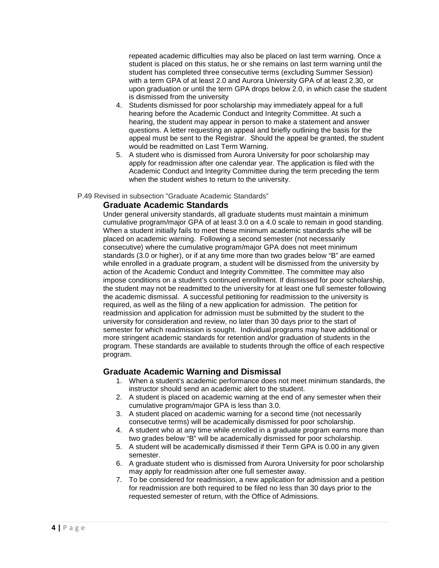repeated academic difficulties may also be placed on last term warning. Once a student is placed on this status, he or she remains on last term warning until the student has completed three consecutive terms (excluding Summer Session) with a term GPA of at least 2.0 and Aurora University GPA of at least 2.30, or upon graduation or until the term GPA drops below 2.0, in which case the student is dismissed from the university

- 4. Students dismissed for poor scholarship may immediately appeal for a full hearing before the Academic Conduct and Integrity Committee. At such a hearing, the student may appear in person to make a statement and answer questions. A letter requesting an appeal and briefly outlining the basis for the appeal must be sent to the Registrar. Should the appeal be granted, the student would be readmitted on Last Term Warning.
- 5. A student who is dismissed from Aurora University for poor scholarship may apply for readmission after one calendar year. The application is filed with the Academic Conduct and Integrity Committee during the term preceding the term when the student wishes to return to the university.

# P.49 Revised in subsection "Graduate Academic Standards"

# **Graduate Academic Standards**

Under general university standards, all graduate students must maintain a minimum cumulative program/major GPA of at least 3.0 on a 4.0 scale to remain in good standing. When a student initially fails to meet these minimum academic standards s/he will be placed on academic warning. Following a second semester (not necessarily consecutive) where the cumulative program/major GPA does not meet minimum standards (3.0 or higher), or if at any time more than two grades below "B" are earned while enrolled in a graduate program, a student will be dismissed from the university by action of the Academic Conduct and Integrity Committee. The committee may also impose conditions on a student's continued enrollment. If dismissed for poor scholarship, the student may not be readmitted to the university for at least one full semester following the academic dismissal. A successful petitioning for readmission to the university is required, as well as the filing of a new application for admission. The petition for readmission and application for admission must be submitted by the student to the university for consideration and review, no later than 30 days prior to the start of semester for which readmission is sought. Individual programs may have additional or more stringent academic standards for retention and/or graduation of students in the program. These standards are available to students through the office of each respective program.

# **Graduate Academic Warning and Dismissal**

- 1. When a student's academic performance does not meet minimum standards, the instructor should send an academic alert to the student.
- 2. A student is placed on academic warning at the end of any semester when their cumulative program/major GPA is less than 3.0.
- 3. A student placed on academic warning for a second time (not necessarily consecutive terms) will be academically dismissed for poor scholarship.
- 4. A student who at any time while enrolled in a graduate program earns more than two grades below "B" will be academically dismissed for poor scholarship.
- 5. A student will be academically dismissed if their Term GPA is 0.00 in any given semester.
- 6. A graduate student who is dismissed from Aurora University for poor scholarship may apply for readmission after one full semester away.
- 7. To be considered for readmission, a new application for admission and a petition for readmission are both required to be filed no less than 30 days prior to the requested semester of return, with the Office of Admissions.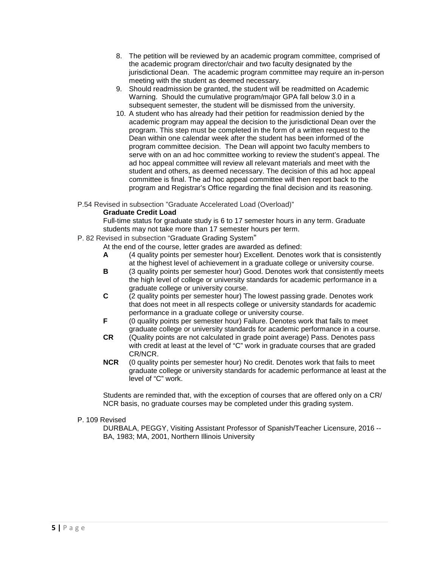- 8. The petition will be reviewed by an academic program committee, comprised of the academic program director/chair and two faculty designated by the jurisdictional Dean. The academic program committee may require an in-person meeting with the student as deemed necessary.
- 9. Should readmission be granted, the student will be readmitted on Academic Warning. Should the cumulative program/major GPA fall below 3.0 in a subsequent semester, the student will be dismissed from the university.
- 10. A student who has already had their petition for readmission denied by the academic program may appeal the decision to the jurisdictional Dean over the program. This step must be completed in the form of a written request to the Dean within one calendar week after the student has been informed of the program committee decision. The Dean will appoint two faculty members to serve with on an ad hoc committee working to review the student's appeal. The ad hoc appeal committee will review all relevant materials and meet with the student and others, as deemed necessary. The decision of this ad hoc appeal committee is final. The ad hoc appeal committee will then report back to the program and Registrar's Office regarding the final decision and its reasoning.
- P.54 Revised in subsection "Graduate Accelerated Load (Overload)"

# **Graduate Credit Load**

Full-time status for graduate study is 6 to 17 semester hours in any term. Graduate students may not take more than 17 semester hours per term.

- P. 82 Revised in subsection "Graduate Grading System"
	- At the end of the course, letter grades are awarded as defined:
	- **A** (4 quality points per semester hour) Excellent. Denotes work that is consistently at the highest level of achievement in a graduate college or university course.
	- **B** (3 quality points per semester hour) Good. Denotes work that consistently meets the high level of college or university standards for academic performance in a graduate college or university course.
	- **C** (2 quality points per semester hour) The lowest passing grade. Denotes work that does not meet in all respects college or university standards for academic performance in a graduate college or university course.
	- **F** (0 quality points per semester hour) Failure. Denotes work that fails to meet graduate college or university standards for academic performance in a course.
	- **CR** (Quality points are not calculated in grade point average) Pass. Denotes pass with credit at least at the level of "C" work in graduate courses that are graded CR/NCR.
	- **NCR** (0 quality points per semester hour) No credit. Denotes work that fails to meet graduate college or university standards for academic performance at least at the level of "C" work.

Students are reminded that, with the exception of courses that are offered only on a CR/ NCR basis, no graduate courses may be completed under this grading system.

# P. 109 Revised

DURBALA, PEGGY, Visiting Assistant Professor of Spanish/Teacher Licensure, 2016 -- BA, 1983; MA, 2001, Northern Illinois University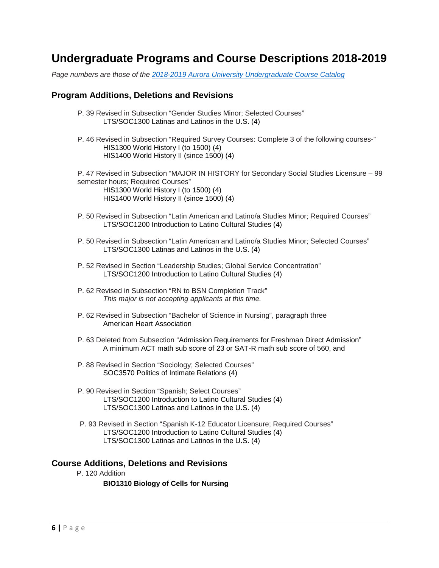# **Undergraduate Programs and Course Descriptions 2018-2019**

*Page numbers are those of the [2018-2019 Aurora University Undergraduate Course Catalog](https://www.aurora.edu/academics/resources/academic-catalog.html#.W-NRXpWo7uh)*

# **Program Additions, Deletions and Revisions**

- P. 39 Revised in Subsection "Gender Studies Minor; Selected Courses" LTS/SOC1300 Latinas and Latinos in the U.S. (4)
- P. 46 Revised in Subsection "Required Survey Courses: Complete 3 of the following courses-" HIS1300 World History I (to 1500) (4) HIS1400 World History II (since 1500) (4)

P. 47 Revised in Subsection "MAJOR IN HISTORY for Secondary Social Studies Licensure – 99 semester hours; Required Courses" HIS1300 World History I (to 1500) (4) HIS1400 World History II (since 1500) (4)

- P. 50 Revised in Subsection "Latin American and Latino/a Studies Minor; Required Courses" LTS/SOC1200 Introduction to Latino Cultural Studies (4)
- P. 50 Revised in Subsection "Latin American and Latino/a Studies Minor; Selected Courses" LTS/SOC1300 Latinas and Latinos in the U.S. (4)
- P. 52 Revised in Section "Leadership Studies; Global Service Concentration" LTS/SOC1200 Introduction to Latino Cultural Studies (4)
- P. 62 Revised in Subsection "RN to BSN Completion Track" *This major is not accepting applicants at this time.*
- P. 62 Revised in Subsection "Bachelor of Science in Nursing", paragraph three American Heart Association
- P. 63 Deleted from Subsection "Admission Requirements for Freshman Direct Admission" A minimum ACT math sub score of 23 or SAT-R math sub score of 560, and
- P. 88 Revised in Section "Sociology; Selected Courses" SOC3570 Politics of Intimate Relations (4)
- P. 90 Revised in Section "Spanish; Select Courses" LTS/SOC1200 Introduction to Latino Cultural Studies (4) LTS/SOC1300 Latinas and Latinos in the U.S. (4)
- P. 93 Revised in Section "Spanish K-12 Educator Licensure; Required Courses" LTS/SOC1200 Introduction to Latino Cultural Studies (4) LTS/SOC1300 Latinas and Latinos in the U.S. (4)

# **Course Additions, Deletions and Revisions**

P. 120 Addition

**BIO1310 Biology of Cells for Nursing**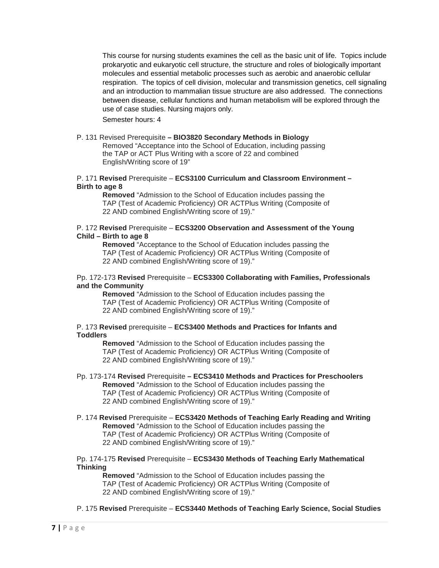This course for nursing students examines the cell as the basic unit of life. Topics include prokaryotic and eukaryotic cell structure, the structure and roles of biologically important molecules and essential metabolic processes such as aerobic and anaerobic cellular respiration. The topics of cell division, molecular and transmission genetics, cell signaling and an introduction to mammalian tissue structure are also addressed. The connections between disease, cellular functions and human metabolism will be explored through the use of case studies. Nursing majors only.

Semester hours: 4

# P. 131 Revised Prerequisite **– BIO3820 Secondary Methods in Biology**

Removed "Acceptance into the School of Education, including passing the TAP or ACT Plus Writing with a score of 22 and combined English/Writing score of 19"

## P. 171 **Revised** Prerequisite – **ECS3100 Curriculum and Classroom Environment – Birth to age 8**

**Removed** "Admission to the School of Education includes passing the TAP (Test of Academic Proficiency) OR ACTPlus Writing (Composite of 22 AND combined English/Writing score of 19)."

#### P. 172 **Revised** Prerequisite – **ECS3200 Observation and Assessment of the Young Child – Birth to age 8**

**Removed** "Acceptance to the School of Education includes passing the TAP (Test of Academic Proficiency) OR ACTPlus Writing (Composite of 22 AND combined English/Writing score of 19)."

## Pp. 172-173 **Revised** Prerequisite – **ECS3300 Collaborating with Families, Professionals and the Community**

**Removed** "Admission to the School of Education includes passing the TAP (Test of Academic Proficiency) OR ACTPlus Writing (Composite of 22 AND combined English/Writing score of 19)."

# P. 173 **Revised** prerequisite – **ECS3400 Methods and Practices for Infants and Toddlers**

**Removed** "Admission to the School of Education includes passing the TAP (Test of Academic Proficiency) OR ACTPlus Writing (Composite of 22 AND combined English/Writing score of 19)."

- Pp. 173-174 **Revised** Prerequisite **– ECS3410 Methods and Practices for Preschoolers Removed** "Admission to the School of Education includes passing the TAP (Test of Academic Proficiency) OR ACTPlus Writing (Composite of 22 AND combined English/Writing score of 19)."
- P. 174 **Revised** Prerequisite **ECS3420 Methods of Teaching Early Reading and Writing Removed** "Admission to the School of Education includes passing the TAP (Test of Academic Proficiency) OR ACTPlus Writing (Composite of 22 AND combined English/Writing score of 19)."

# Pp. 174-175 **Revised** Prerequisite – **ECS3430 Methods of Teaching Early Mathematical Thinking**

**Removed** "Admission to the School of Education includes passing the TAP (Test of Academic Proficiency) OR ACTPlus Writing (Composite of 22 AND combined English/Writing score of 19)."

P. 175 **Revised** Prerequisite – **ECS3440 Methods of Teaching Early Science, Social Studies**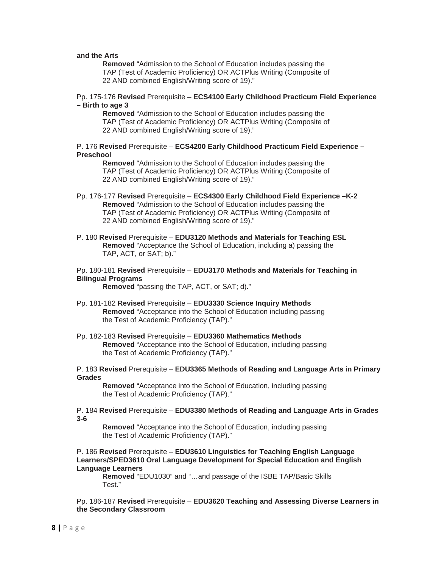# **and the Arts**

**Removed** "Admission to the School of Education includes passing the TAP (Test of Academic Proficiency) OR ACTPlus Writing (Composite of 22 AND combined English/Writing score of 19)."

#### Pp. 175-176 **Revised** Prerequisite – **ECS4100 Early Childhood Practicum Field Experience – Birth to age 3**

**Removed** "Admission to the School of Education includes passing the TAP (Test of Academic Proficiency) OR ACTPlus Writing (Composite of 22 AND combined English/Writing score of 19)."

## P. 176 **Revised** Prerequisite – **ECS4200 Early Childhood Practicum Field Experience – Preschool**

**Removed** "Admission to the School of Education includes passing the TAP (Test of Academic Proficiency) OR ACTPlus Writing (Composite of 22 AND combined English/Writing score of 19)."

- Pp. 176-177 **Revised** Prerequisite **ECS4300 Early Childhood Field Experience –K-2 Removed** "Admission to the School of Education includes passing the TAP (Test of Academic Proficiency) OR ACTPlus Writing (Composite of 22 AND combined English/Writing score of 19)."
- P. 180 **Revised** Prerequisite **EDU3120 Methods and Materials for Teaching ESL Removed** "Acceptance the School of Education, including a) passing the TAP, ACT, or SAT; b)."
- Pp. 180-181 **Revised** Prerequisite **EDU3170 Methods and Materials for Teaching in Bilingual Programs**

**Removed** "passing the TAP, ACT, or SAT; d)."

- Pp. 181-182 **Revised** Prerequisite **EDU3330 Science Inquiry Methods Removed** "Acceptance into the School of Education including passing the Test of Academic Proficiency (TAP)."
- Pp. 182-183 **Revised** Prerequisite **EDU3360 Mathematics Methods Removed** "Acceptance into the School of Education, including passing the Test of Academic Proficiency (TAP)."

#### P. 183 **Revised** Prerequisite – **EDU3365 Methods of Reading and Language Arts in Primary Grades**

**Removed** "Acceptance into the School of Education, including passing the Test of Academic Proficiency (TAP)."

### P. 184 **Revised** Prerequisite – **EDU3380 Methods of Reading and Language Arts in Grades 3-6**

**Removed** "Acceptance into the School of Education, including passing the Test of Academic Proficiency (TAP)."

P. 186 **Revised** Prerequisite – **EDU3610 Linguistics for Teaching English Language Learners/SPED3610 Oral Language Development for Special Education and English Language Learners**

**Removed** "EDU1030" and "…and passage of the ISBE TAP/Basic Skills Test."

Pp. 186-187 **Revised** Prerequisite – **EDU3620 Teaching and Assessing Diverse Learners in the Secondary Classroom**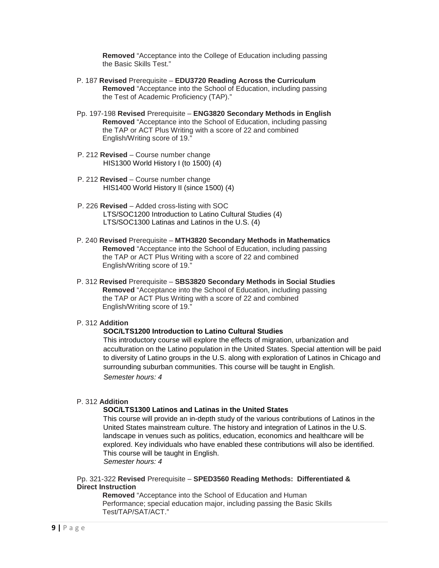**Removed** "Acceptance into the College of Education including passing the Basic Skills Test."

- P. 187 **Revised** Prerequisite **EDU3720 Reading Across the Curriculum Removed** "Acceptance into the School of Education, including passing the Test of Academic Proficiency (TAP)."
- Pp. 197-198 **Revised** Prerequisite **ENG3820 Secondary Methods in English Removed** "Acceptance into the School of Education, including passing the TAP or ACT Plus Writing with a score of 22 and combined English/Writing score of 19."
- P. 212 **Revised** Course number change HIS1300 World History I (to 1500) (4)
- P. 212 **Revised** Course number change HIS1400 World History II (since 1500) (4)
- P. 226 **Revised** Added cross-listing with SOC LTS/SOC1200 Introduction to Latino Cultural Studies (4) LTS/SOC1300 Latinas and Latinos in the U.S. (4)
- P. 240 **Revised** Prerequisite **MTH3820 Secondary Methods in Mathematics Removed** "Acceptance into the School of Education, including passing the TAP or ACT Plus Writing with a score of 22 and combined English/Writing score of 19."
- P. 312 **Revised** Prerequisite **SBS3820 Secondary Methods in Social Studies Removed** "Acceptance into the School of Education, including passing the TAP or ACT Plus Writing with a score of 22 and combined English/Writing score of 19."

# P. 312 **Addition**

# **SOC/LTS1200 Introduction to Latino Cultural Studies**

This introductory course will explore the effects of migration, urbanization and acculturation on the Latino population in the United States. Special attention will be paid to diversity of Latino groups in the U.S. along with exploration of Latinos in Chicago and surrounding suburban communities. This course will be taught in English. *Semester hours: 4*

# P. 312 **Addition**

# **SOC/LTS1300 Latinos and Latinas in the United States**

This course will provide an in-depth study of the various contributions of Latinos in the United States mainstream culture. The history and integration of Latinos in the U.S. landscape in venues such as politics, education, economics and healthcare will be explored. Key individuals who have enabled these contributions will also be identified. This course will be taught in English. *Semester hours: 4*

Pp. 321-322 **Revised** Prerequisite – **SPED3560 Reading Methods: Differentiated & Direct Instruction**

**Removed** "Acceptance into the School of Education and Human Performance; special education major, including passing the Basic Skills Test/TAP/SAT/ACT."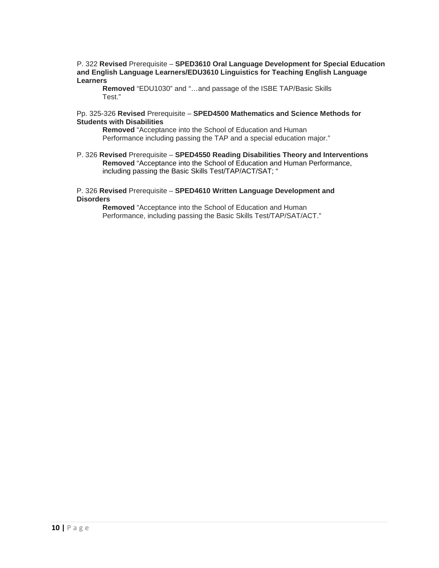P. 322 **Revised** Prerequisite – **SPED3610 Oral Language Development for Special Education and English Language Learners/EDU3610 Linguistics for Teaching English Language Learners**

**Removed** "EDU1030" and "…and passage of the ISBE TAP/Basic Skills Test."

#### Pp. 325-326 **Revised** Prerequisite – **SPED4500 Mathematics and Science Methods for Students with Disabilities**

**Removed** "Acceptance into the School of Education and Human Performance including passing the TAP and a special education major."

P. 326 **Revised** Prerequisite – **SPED4550 Reading Disabilities Theory and Interventions Removed** "Acceptance into the School of Education and Human Performance, including passing the Basic Skills Test/TAP/ACT/SAT; "

#### P. 326 **Revised** Prerequisite – **SPED4610 Written Language Development and Disorders**

**Removed** "Acceptance into the School of Education and Human Performance, including passing the Basic Skills Test/TAP/SAT/ACT."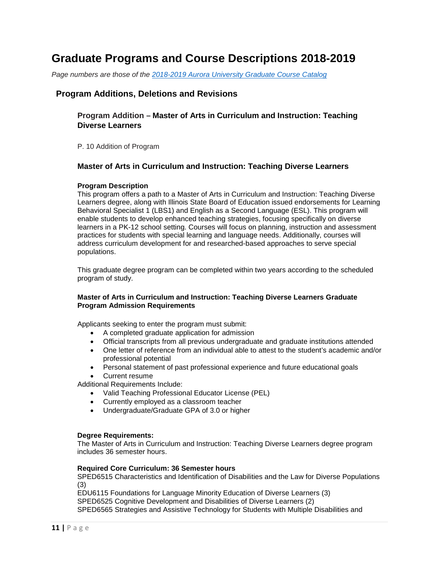# **Graduate Programs and Course Descriptions 2018-2019**

*Page numbers are those of the [2018-2019 Aurora University Graduate Course Catalog](https://www.aurora.edu/academics/resources/academic-catalog.html#.W-NRXpWo7uh)*

# **Program Additions, Deletions and Revisions**

# **Program Addition – Master of Arts in Curriculum and Instruction: Teaching Diverse Learners**

P. 10 Addition of Program

# **Master of Arts in Curriculum and Instruction: Teaching Diverse Learners**

# **Program Description**

This program offers a path to a Master of Arts in Curriculum and Instruction: Teaching Diverse Learners degree, along with Illinois State Board of Education issued endorsements for Learning Behavioral Specialist 1 (LBS1) and English as a Second Language (ESL). This program will enable students to develop enhanced teaching strategies, focusing specifically on diverse learners in a PK-12 school setting. Courses will focus on planning, instruction and assessment practices for students with special learning and language needs. Additionally, courses will address curriculum development for and researched-based approaches to serve special populations.

This graduate degree program can be completed within two years according to the scheduled program of study.

# **Master of Arts in Curriculum and Instruction: Teaching Diverse Learners Graduate Program Admission Requirements**

Applicants seeking to enter the program must submit:

- A completed graduate application for admission
- Official transcripts from all previous undergraduate and graduate institutions attended
- One letter of reference from an individual able to attest to the student's academic and/or professional potential
- Personal statement of past professional experience and future educational goals
- Current resume

Additional Requirements Include:

- Valid Teaching Professional Educator License (PEL)
- Currently employed as a classroom teacher
- Undergraduate/Graduate GPA of 3.0 or higher

# **Degree Requirements:**

The Master of Arts in Curriculum and Instruction: Teaching Diverse Learners degree program includes 36 semester hours.

# **Required Core Curriculum: 36 Semester hours**

SPED6515 Characteristics and Identification of Disabilities and the Law for Diverse Populations (3)

EDU6115 Foundations for Language Minority Education of Diverse Learners (3)

SPED6525 Cognitive Development and Disabilities of Diverse Learners (2)

SPED6565 Strategies and Assistive Technology for Students with Multiple Disabilities and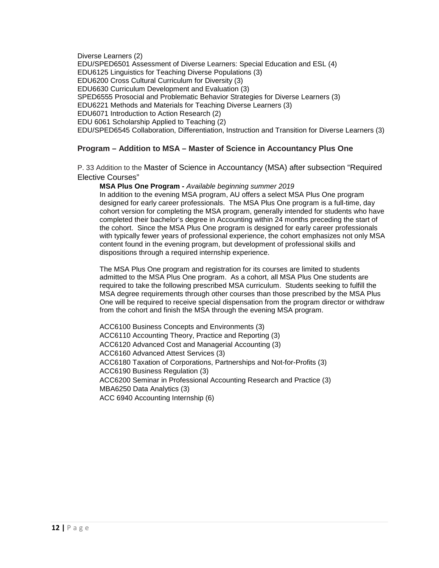Diverse Learners (2) EDU/SPED6501 Assessment of Diverse Learners: Special Education and ESL (4) EDU6125 Linguistics for Teaching Diverse Populations (3) EDU6200 Cross Cultural Curriculum for Diversity (3) EDU6630 Curriculum Development and Evaluation (3) SPED6555 Prosocial and Problematic Behavior Strategies for Diverse Learners (3) EDU6221 Methods and Materials for Teaching Diverse Learners (3) EDU6071 Introduction to Action Research (2) EDU 6061 Scholarship Applied to Teaching (2) EDU/SPED6545 Collaboration, Differentiation, Instruction and Transition for Diverse Learners (3)

# **Program – Addition to MSA – Master of Science in Accountancy Plus One**

P. 33 Addition to the Master of Science in Accountancy (MSA) after subsection "Required Elective Courses"

**MSA Plus One Program -** *Available beginning summer 2019*

In addition to the evening MSA program, AU offers a select MSA Plus One program designed for early career professionals. The MSA Plus One program is a full-time, day cohort version for completing the MSA program, generally intended for students who have completed their bachelor's degree in Accounting within 24 months preceding the start of the cohort. Since the MSA Plus One program is designed for early career professionals with typically fewer years of professional experience, the cohort emphasizes not only MSA content found in the evening program, but development of professional skills and dispositions through a required internship experience.

The MSA Plus One program and registration for its courses are limited to students admitted to the MSA Plus One program. As a cohort, all MSA Plus One students are required to take the following prescribed MSA curriculum. Students seeking to fulfill the MSA degree requirements through other courses than those prescribed by the MSA Plus One will be required to receive special dispensation from the program director or withdraw from the cohort and finish the MSA through the evening MSA program.

ACC6100 Business Concepts and Environments (3) ACC6110 Accounting Theory, Practice and Reporting (3) ACC6120 Advanced Cost and Managerial Accounting (3) ACC6160 Advanced Attest Services (3) ACC6180 Taxation of Corporations, Partnerships and Not-for-Profits (3) ACC6190 Business Regulation (3) ACC6200 Seminar in Professional Accounting Research and Practice (3) MBA6250 Data Analytics (3) ACC 6940 Accounting Internship (6)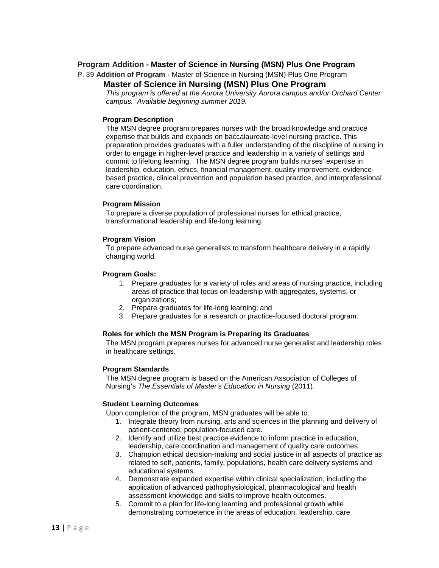# **Program Addition - Master of Science in Nursing (MSN) Plus One Program**

P. 39 **Addition of Program -** Master of Science in Nursing (MSN) Plus One Program

# **Master of Science in Nursing (MSN) Plus One Program**

*This program is offered at the Aurora University Aurora campus and/or Orchard Center campus. Available beginning summer 2019.*

# **Program Description**

The MSN degree program prepares nurses with the broad knowledge and practice expertise that builds and expands on baccalaureate-level nursing practice. This preparation provides graduates with a fuller understanding of the discipline of nursing in order to engage in higher-level practice and leadership in a variety of settings and commit to lifelong learning. The MSN degree program builds nurses' expertise in leadership, education, ethics, financial management, quality improvement, evidencebased practice, clinical prevention and population based practice, and interprofessional care coordination.

# **Program Mission**

To prepare a diverse population of professional nurses for ethical practice, transformational leadership and life-long learning.

# **Program Vision**

To prepare advanced nurse generalists to transform healthcare delivery in a rapidly changing world.

# **Program Goals:**

- 1. Prepare graduates for a variety of roles and areas of nursing practice, including areas of practice that focus on leadership with aggregates, systems, or organizations;
- 2. Prepare graduates for life-long learning; and
- 3. Prepare graduates for a research or practice-focused doctoral program.

# **Roles for which the MSN Program is Preparing its Graduates**

The MSN program prepares nurses for advanced nurse generalist and leadership roles in healthcare settings.

# **Program Standards**

The MSN degree program is based on the American Association of Colleges of Nursing's *The Essentials of Master's Education in Nursing* (2011).

# **Student Learning Outcomes**

Upon completion of the program, MSN graduates will be able to:

- 1. Integrate theory from nursing, arts and sciences in the planning and delivery of patient-centered, population-focused care.
- 2. Identify and utilize best practice evidence to inform practice in education, leadership, care coordination and management of quality care outcomes.
- 3. Champion ethical decision-making and social justice in all aspects of practice as related to self, patients, family, populations, health care delivery systems and educational systems.
- 4. Demonstrate expanded expertise within clinical specialization, including the application of advanced pathophysiological, pharmacological and health assessment knowledge and skills to improve health outcomes.
- 5. Commit to a plan for life-long learning and professional growth while demonstrating competence in the areas of education, leadership, care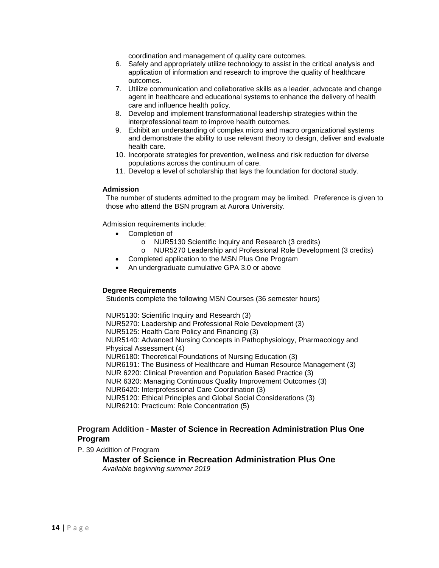coordination and management of quality care outcomes.

- 6. Safely and appropriately utilize technology to assist in the critical analysis and application of information and research to improve the quality of healthcare outcomes.
- 7. Utilize communication and collaborative skills as a leader, advocate and change agent in healthcare and educational systems to enhance the delivery of health care and influence health policy.
- 8. Develop and implement transformational leadership strategies within the interprofessional team to improve health outcomes.
- 9. Exhibit an understanding of complex micro and macro organizational systems and demonstrate the ability to use relevant theory to design, deliver and evaluate health care.
- 10. Incorporate strategies for prevention, wellness and risk reduction for diverse populations across the continuum of care.
- 11. Develop a level of scholarship that lays the foundation for doctoral study.

# **Admission**

The number of students admitted to the program may be limited. Preference is given to those who attend the BSN program at Aurora University.

Admission requirements include:

- Completion of
	- o NUR5130 Scientific Inquiry and Research (3 credits)
	- o NUR5270 Leadership and Professional Role Development (3 credits)
- Completed application to the MSN Plus One Program
- An undergraduate cumulative GPA 3.0 or above

# **Degree Requirements**

Students complete the following MSN Courses (36 semester hours)

NUR5130: Scientific Inquiry and Research (3) NUR5270: Leadership and Professional Role Development (3) NUR5125: Health Care Policy and Financing (3) NUR5140: Advanced Nursing Concepts in Pathophysiology, Pharmacology and Physical Assessment (4) NUR6180: Theoretical Foundations of Nursing Education (3) NUR6191: The Business of Healthcare and Human Resource Management (3) NUR 6220: Clinical Prevention and Population Based Practice (3) NUR 6320: Managing Continuous Quality Improvement Outcomes (3) NUR6420: Interprofessional Care Coordination (3) NUR5120: Ethical Principles and Global Social Considerations (3) NUR6210: Practicum: Role Concentration (5)

# **Program Addition - Master of Science in Recreation Administration Plus One Program**

P. 39 Addition of Program

**Master of Science in Recreation Administration Plus One** *Available beginning summer 2019*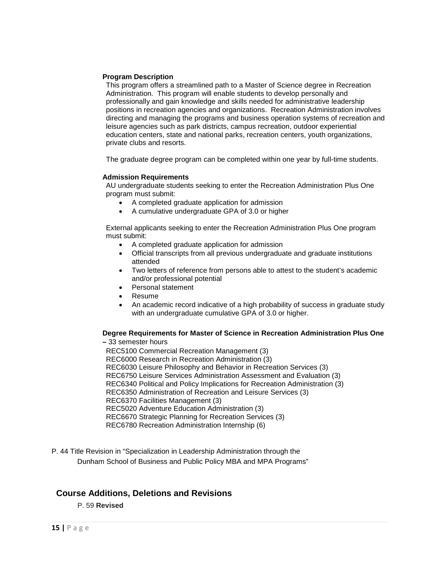# **Program Description**

This program offers a streamlined path to a Master of Science degree in Recreation Administration. This program will enable students to develop personally and professionally and gain knowledge and skills needed for administrative leadership positions in recreation agencies and organizations. Recreation Administration involves directing and managing the programs and business operation systems of recreation and leisure agencies such as park districts, campus recreation, outdoor experiential education centers, state and national parks, recreation centers, youth organizations, private clubs and resorts.

The graduate degree program can be completed within one year by full-time students.

#### **Admission Requirements**

AU undergraduate students seeking to enter the Recreation Administration Plus One program must submit:

- A completed graduate application for admission
- A cumulative undergraduate GPA of 3.0 or higher

External applicants seeking to enter the Recreation Administration Plus One program must submit:

- A completed graduate application for admission
- Official transcripts from all previous undergraduate and graduate institutions attended
- Two letters of reference from persons able to attest to the student's academic and/or professional potential
- Personal statement
- Resume
- An academic record indicative of a high probability of success in graduate study with an undergraduate cumulative GPA of 3.0 or higher.

#### **Degree Requirements for Master of Science in Recreation Administration Plus One –** 33 semester hours

REC5100 Commercial Recreation Management (3) REC6000 Research in Recreation Administration (3) REC6030 Leisure Philosophy and Behavior in Recreation Services (3) REC6750 Leisure Services Administration Assessment and Evaluation (3) REC6340 Political and Policy Implications for Recreation Administration (3) REC6350 Administration of Recreation and Leisure Services (3) REC6370 Facilities Management (3) REC5020 Adventure Education Administration (3) REC6670 Strategic Planning for Recreation Services (3) REC6780 Recreation Administration Internship (6)

P. 44 Title Revision in "Specialization in Leadership Administration through the Dunham School of Business and Public Policy MBA and MPA Programs"

# **Course Additions, Deletions and Revisions**

P. 59 **Revised**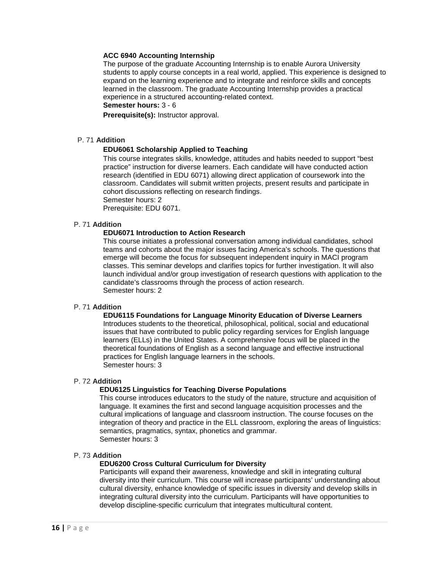# **ACC 6940 Accounting Internship**

The purpose of the graduate Accounting Internship is to enable Aurora University students to apply course concepts in a real world, applied. This experience is designed to expand on the learning experience and to integrate and reinforce skills and concepts learned in the classroom. The graduate Accounting Internship provides a practical experience in a structured accounting-related context.

# **Semester hours:** 3 - 6

**Prerequisite(s):** Instructor approval.

# P. 71 **Addition**

# **EDU6061 Scholarship Applied to Teaching**

This course integrates skills, knowledge, attitudes and habits needed to support "best practice" instruction for diverse learners. Each candidate will have conducted action research (identified in EDU 6071) allowing direct application of coursework into the classroom. Candidates will submit written projects, present results and participate in cohort discussions reflecting on research findings. Semester hours: 2

Prerequisite: EDU 6071.

# P. 71 **Addition**

# **EDU6071 Introduction to Action Research**

This course initiates a professional conversation among individual candidates, school teams and cohorts about the major issues facing America's schools. The questions that emerge will become the focus for subsequent independent inquiry in MACI program classes. This seminar develops and clarifies topics for further investigation. It will also launch individual and/or group investigation of research questions with application to the candidate's classrooms through the process of action research. Semester hours: 2

# P. 71 **Addition**

### **EDU6115 Foundations for Language Minority Education of Diverse Learners** Introduces students to the theoretical, philosophical, political, social and educational issues that have contributed to public policy regarding services for English language learners (ELLs) in the United States. A comprehensive focus will be placed in the theoretical foundations of English as a second language and effective instructional practices for English language learners in the schools.

Semester hours: 3

# P. 72 **Addition**

# **EDU6125 Linguistics for Teaching Diverse Populations**

This course introduces educators to the study of the nature, structure and acquisition of language. It examines the first and second language acquisition processes and the cultural implications of language and classroom instruction. The course focuses on the integration of theory and practice in the ELL classroom, exploring the areas of linguistics: semantics, pragmatics, syntax, phonetics and grammar. Semester hours: 3

# P. 73 **Addition**

# **EDU6200 Cross Cultural Curriculum for Diversity**

Participants will expand their awareness, knowledge and skill in integrating cultural diversity into their curriculum. This course will increase participants' understanding about cultural diversity, enhance knowledge of specific issues in diversity and develop skills in integrating cultural diversity into the curriculum. Participants will have opportunities to develop discipline-specific curriculum that integrates multicultural content.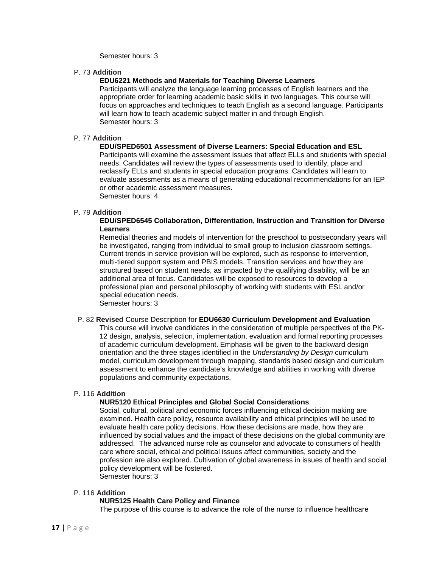Semester hours: 3

# P. 73 **Addition**

# **EDU6221 Methods and Materials for Teaching Diverse Learners**

Participants will analyze the language learning processes of English learners and the appropriate order for learning academic basic skills in two languages. This course will focus on approaches and techniques to teach English as a second language. Participants will learn how to teach academic subject matter in and through English. Semester hours: 3

# P. 77 **Addition**

# **EDU/SPED6501 Assessment of Diverse Learners: Special Education and ESL**

Participants will examine the assessment issues that affect ELLs and students with special needs. Candidates will review the types of assessments used to identify, place and reclassify ELLs and students in special education programs. Candidates will learn to evaluate assessments as a means of generating educational recommendations for an IEP or other academic assessment measures. Semester hours: 4

# P. 79 **Addition**

# **EDU/SPED6545 Collaboration, Differentiation, Instruction and Transition for Diverse Learners**

Remedial theories and models of intervention for the preschool to postsecondary years will be investigated, ranging from individual to small group to inclusion classroom settings. Current trends in service provision will be explored, such as response to intervention, multi-tiered support system and PBIS models. Transition services and how they are structured based on student needs, as impacted by the qualifying disability, will be an additional area of focus. Candidates will be exposed to resources to develop a professional plan and personal philosophy of working with students with ESL and/or special education needs.

Semester hours: 3

# P. 82 **Revised** Course Description for **EDU6630 Curriculum Development and Evaluation**

This course will involve candidates in the consideration of multiple perspectives of the PK-12 design, analysis, selection, implementation, evaluation and formal reporting processes of academic curriculum development. Emphasis will be given to the backward design orientation and the three stages identified in the *Understanding by Design* curriculum model, curriculum development through mapping, standards based design and curriculum assessment to enhance the candidate's knowledge and abilities in working with diverse populations and community expectations.

# P. 116 **Addition**

# **NUR5120 Ethical Principles and Global Social Considerations**

Social, cultural, political and economic forces influencing ethical decision making are examined. Health care policy, resource availability and ethical principles will be used to evaluate health care policy decisions. How these decisions are made, how they are influenced by social values and the impact of these decisions on the global community are addressed. The advanced nurse role as counselor and advocate to consumers of health care where social, ethical and political issues affect communities, society and the profession are also explored. Cultivation of global awareness in issues of health and social policy development will be fostered. Semester hours: 3

# P. 116 **Addition**

# **NUR5125 Health Care Policy and Finance**

The purpose of this course is to advance the role of the nurse to influence healthcare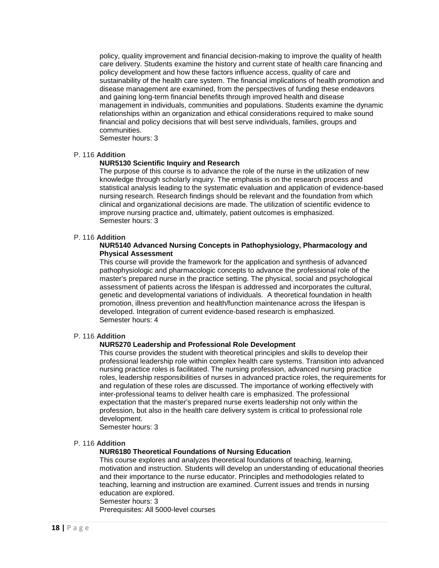policy, quality improvement and financial decision-making to improve the quality of health care delivery. Students examine the history and current state of health care financing and policy development and how these factors influence access, quality of care and sustainability of the health care system. The financial implications of health promotion and disease management are examined, from the perspectives of funding these endeavors and gaining long-term financial benefits through improved health and disease management in individuals, communities and populations. Students examine the dynamic relationships within an organization and ethical considerations required to make sound financial and policy decisions that will best serve individuals, families, groups and communities.

Semester hours: 3

# P. 116 **Addition**

# **NUR5130 Scientific Inquiry and Research**

The purpose of this course is to advance the role of the nurse in the utilization of new knowledge through scholarly inquiry. The emphasis is on the research process and statistical analysis leading to the systematic evaluation and application of evidence-based nursing research. Research findings should be relevant and the foundation from which clinical and organizational decisions are made. The utilization of scientific evidence to improve nursing practice and, ultimately, patient outcomes is emphasized. Semester hours: 3

#### P. 116 **Addition**

## **NUR5140 Advanced Nursing Concepts in Pathophysiology, Pharmacology and Physical Assessment**

This course will provide the framework for the application and synthesis of advanced pathophysiologic and pharmacologic concepts to advance the professional role of the master's prepared nurse in the practice setting. The physical, social and psychological assessment of patients across the lifespan is addressed and incorporates the cultural, genetic and developmental variations of individuals. A theoretical foundation in health promotion, illness prevention and health/function maintenance across the lifespan is developed. Integration of current evidence-based research is emphasized. Semester hours: 4

# P. 116 **Addition**

# **NUR5270 Leadership and Professional Role Development**

This course provides the student with theoretical principles and skills to develop their professional leadership role within complex health care systems. Transition into advanced nursing practice roles is facilitated. The nursing profession, advanced nursing practice roles, leadership responsibilities of nurses in advanced practice roles, the requirements for and regulation of these roles are discussed. The importance of working effectively with inter-professional teams to deliver health care is emphasized. The professional expectation that the master's prepared nurse exerts leadership not only within the profession, but also in the health care delivery system is critical to professional role development.

Semester hours: 3

# P. 116 **Addition**

# **NUR6180 Theoretical Foundations of Nursing Education**

This course explores and analyzes theoretical foundations of teaching, learning, motivation and instruction. Students will develop an understanding of educational theories and their importance to the nurse educator. Principles and methodologies related to teaching, learning and instruction are examined. Current issues and trends in nursing education are explored.

#### Semester hours: 3

Prerequisites: All 5000-level courses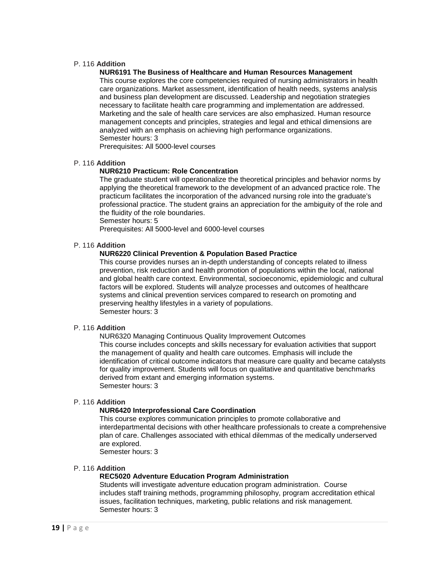# P. 116 **Addition**

## **NUR6191 The Business of Healthcare and Human Resources Management**

This course explores the core competencies required of nursing administrators in health care organizations. Market assessment, identification of health needs, systems analysis and business plan development are discussed. Leadership and negotiation strategies necessary to facilitate health care programming and implementation are addressed. Marketing and the sale of health care services are also emphasized. Human resource management concepts and principles, strategies and legal and ethical dimensions are analyzed with an emphasis on achieving high performance organizations. Semester hours: 3

Prerequisites: All 5000-level courses

#### P. 116 **Addition**

# **NUR6210 Practicum: Role Concentration**

The graduate student will operationalize the theoretical principles and behavior norms by applying the theoretical framework to the development of an advanced practice role. The practicum facilitates the incorporation of the advanced nursing role into the graduate's professional practice. The student grains an appreciation for the ambiguity of the role and the fluidity of the role boundaries.

Semester hours: 5

Prerequisites: All 5000-level and 6000-level courses

# P. 116 **Addition**

## **NUR6220 Clinical Prevention & Population Based Practice**

This course provides nurses an in-depth understanding of concepts related to illness prevention, risk reduction and health promotion of populations within the local, national and global health care context. Environmental, socioeconomic, epidemiologic and cultural factors will be explored. Students will analyze processes and outcomes of healthcare systems and clinical prevention services compared to research on promoting and preserving healthy lifestyles in a variety of populations. Semester hours: 3

#### P. 116 **Addition**

NUR6320 Managing Continuous Quality Improvement Outcomes This course includes concepts and skills necessary for evaluation activities that support the management of quality and health care outcomes. Emphasis will include the identification of critical outcome indicators that measure care quality and became catalysts for quality improvement. Students will focus on qualitative and quantitative benchmarks derived from extant and emerging information systems. Semester hours: 3

# P. 116 **Addition**

# **NUR6420 Interprofessional Care Coordination**

This course explores communication principles to promote collaborative and interdepartmental decisions with other healthcare professionals to create a comprehensive plan of care. Challenges associated with ethical dilemmas of the medically underserved are explored.

Semester hours: 3

#### P. 116 **Addition**

#### **REC5020 Adventure Education Program Administration**

Students will investigate adventure education program administration. Course includes staff training methods, programming philosophy, program accreditation ethical issues, facilitation techniques, marketing, public relations and risk management. Semester hours: 3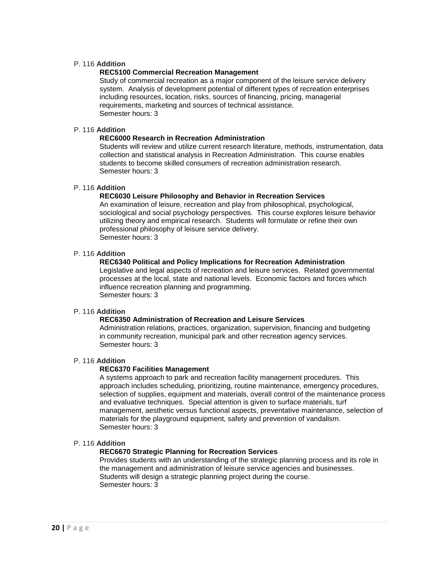# P. 116 **Addition**

# **REC5100 Commercial Recreation Management**

Study of commercial recreation as a major component of the leisure service delivery system. Analysis of development potential of different types of recreation enterprises including resources, location, risks, sources of financing, pricing, managerial requirements, marketing and sources of technical assistance. Semester hours: 3

# P. 116 **Addition**

# **REC6000 Research in Recreation Administration**

Students will review and utilize current research literature, methods, instrumentation, data collection and statistical analysis in Recreation Administration. This course enables students to become skilled consumers of recreation administration research. Semester hours: 3

# P. 116 **Addition**

# **REC6030 Leisure Philosophy and Behavior in Recreation Services**

An examination of leisure, recreation and play from philosophical, psychological, sociological and social psychology perspectives. This course explores leisure behavior utilizing theory and empirical research. Students will formulate or refine their own professional philosophy of leisure service delivery. Semester hours: 3

# P. 116 **Addition**

#### **REC6340 Political and Policy Implications for Recreation Administration**

Legislative and legal aspects of recreation and leisure services. Related governmental processes at the local, state and national levels. Economic factors and forces which influence recreation planning and programming. Semester hours: 3

# P. 116 **Addition**

# **REC6350 Administration of Recreation and Leisure Services**

Administration relations, practices, organization, supervision, financing and budgeting in community recreation, municipal park and other recreation agency services. Semester hours: 3

# P. 116 **Addition**

# **REC6370 Facilities Management**

A systems approach to park and recreation facility management procedures. This approach includes scheduling, prioritizing, routine maintenance, emergency procedures, selection of supplies, equipment and materials, overall control of the maintenance process and evaluative techniques. Special attention is given to surface materials, turf management, aesthetic versus functional aspects, preventative maintenance, selection of materials for the playground equipment, safety and prevention of vandalism. Semester hours: 3

#### P. 116 **Addition**

# **REC6670 Strategic Planning for Recreation Services**

Provides students with an understanding of the strategic planning process and its role in the management and administration of leisure service agencies and businesses. Students will design a strategic planning project during the course. Semester hours: 3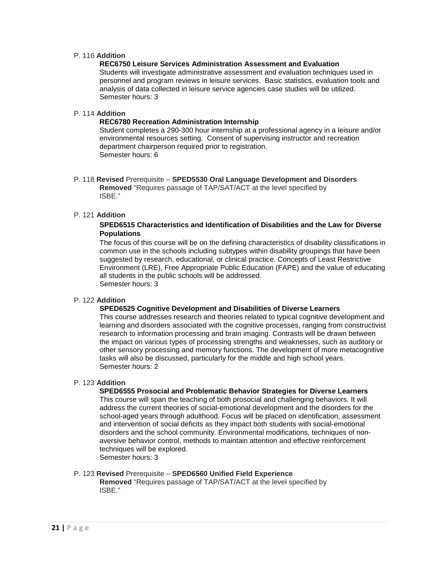# P. 116 **Addition**

# **REC6750 Leisure Services Administration Assessment and Evaluation**

Students will investigate administrative assessment and evaluation techniques used in personnel and program reviews in leisure services. Basic statistics, evaluation tools and analysis of data collected in leisure service agencies case studies will be utilized. Semester hours: 3

#### P. 114 **Addition**

## **REC6780 Recreation Administration Internship**

Student completes a 290-300 hour internship at a professional agency in a leisure and/or environmental resources setting. Consent of supervising instructor and recreation department chairperson required prior to registration. Semester hours: 6

P. 118 **Revised** Prerequisite – **SPED5530 Oral Language Development and Disorders Removed** "Requires passage of TAP/SAT/ACT at the level specified by ISBE."

# P. 121 **Addition**

# **SPED6515 Characteristics and Identification of Disabilities and the Law for Diverse Populations**

The focus of this course will be on the defining characteristics of disability classifications in common use in the schools including subtypes within disability groupings that have been suggested by research, educational, or clinical practice. Concepts of Least Restrictive Environment (LRE), Free Appropriate Public Education (FAPE) and the value of educating all students in the public schools will be addressed. Semester hours: 3

# P. 122 **Addition**

#### **SPED6525 Cognitive Development and Disabilities of Diverse Learners**

This course addresses research and theories related to typical cognitive development and learning and disorders associated with the cognitive processes, ranging from constructivist research to information processing and brain imaging. Contrasts will be drawn between the impact on various types of processing strengths and weaknesses, such as auditory or other sensory processing and memory functions. The development of more metacognitive tasks will also be discussed, particularly for the middle and high school years. Semester hours: 2

# P. 123 **Addition**

#### **SPED6555 Prosocial and Problematic Behavior Strategies for Diverse Learners**

This course will span the teaching of both prosocial and challenging behaviors. It will address the current theories of social-emotional development and the disorders for the school-aged years through adulthood. Focus will be placed on identification, assessment and intervention of social deficits as they impact both students with social-emotional disorders and the school community. Environmental modifications, techniques of nonaversive behavior control, methods to maintain attention and effective reinforcement techniques will be explored.

Semester hours: 3

# P. 123 **Revised** Prerequisite – **SPED6560 Unified Field Experience Removed** "Requires passage of TAP/SAT/ACT at the level specified by ISBE."